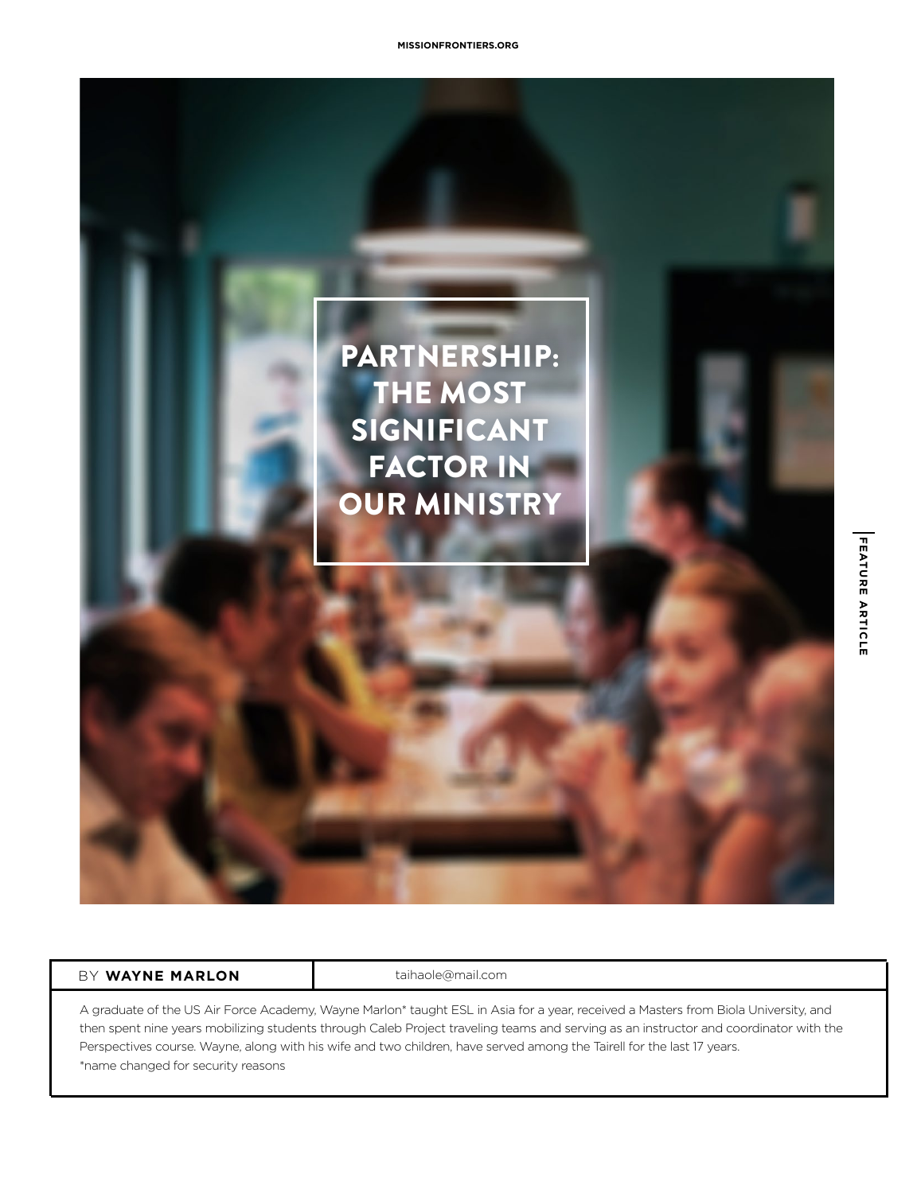

## BY **WAYNE MARLON taihaole@mail.com**

A graduate of the US Air Force Academy, Wayne Marlon\* taught ESL in Asia for a year, received a Masters from Biola University, and then spent nine years mobilizing students through Caleb Project traveling teams and serving as an instructor and coordinator with the Perspectives course. Wayne, along with his wife and two children, have served among the Tairell for the last 17 years. \*name changed for security reasons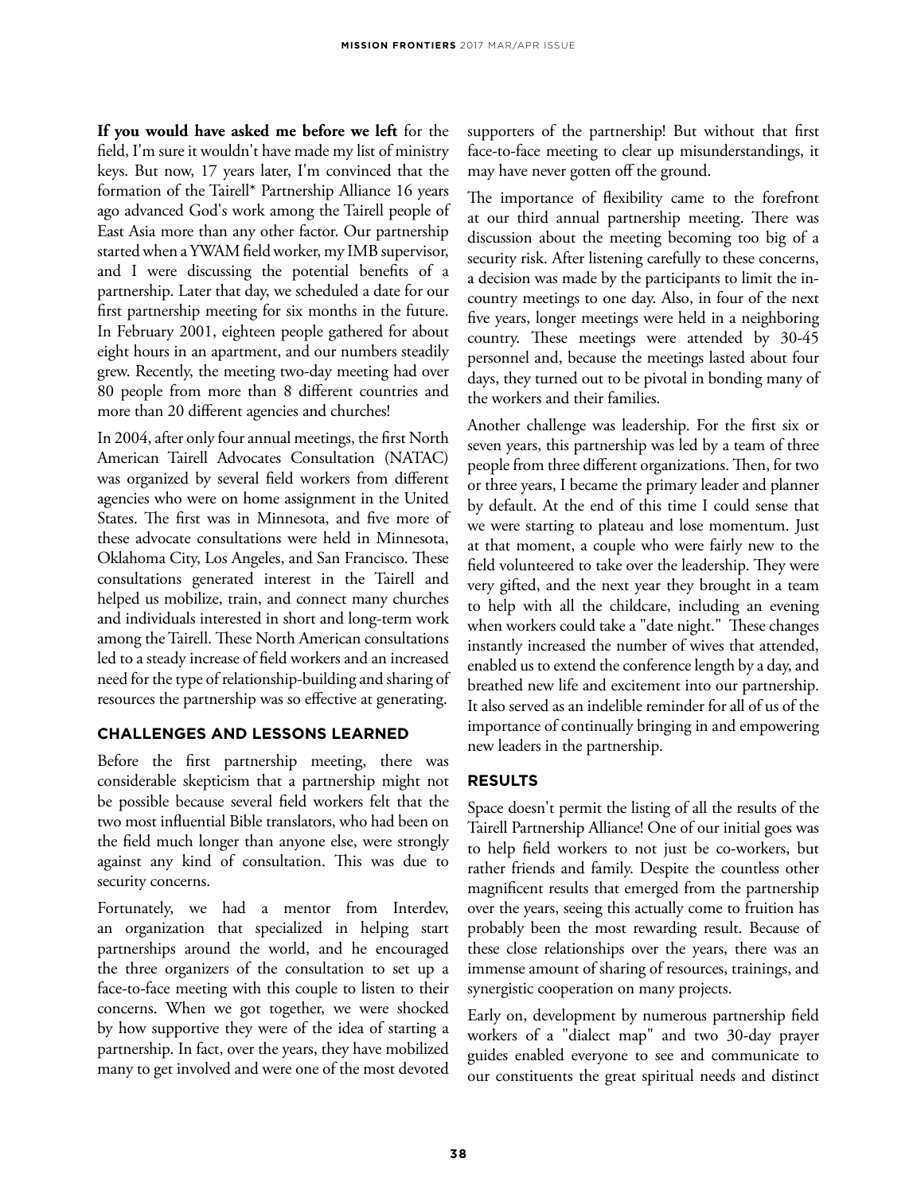**If you would have asked me before we left** for the field, I'm sure it wouldn't have made my list of ministry keys. But now, 17 years later, I'm convinced that the formation of the Tairell\* Partnership Alliance 16 years ago advanced God's work among the Tairell people of East Asia more than any other factor. Our partnership started when a YWAM field worker, my IMB supervisor, and I were discussing the potential benefits of a partnership. Later that day, we scheduled a date for our first partnership meeting for six months in the future. In February 2001, eighteen people gathered for about eight hours in an apartment, and our numbers steadily grew. Recently, the meeting two-day meeting had over 80 people from more than 8 different countries and more than 20 different agencies and churches!

In 2004, after only four annual meetings, the first North American Tairell Advocates Consultation (NATAC) was organized by several field workers from different agencies who were on home assignment in the United States. The first was in Minnesota, and five more of these advocate consultations were held in Minnesota, Oklahoma City, Los Angeles, and San Francisco. These consultations generated interest in the Tairell and helped us mobilize, train, and connect many churches and individuals interested in short and long-term work among the Tairell. These North American consultations led to a steady increase of field workers and an increased need for the type of relationship-building and sharing of resources the partnership was so effective at generating.

## **CHALLENGES AND LESSONS LEARNED**

Before the first partnership meeting, there was considerable skepticism that a partnership might not be possible because several field workers felt that the two most influential Bible translators, who had been on the field much longer than anyone else, were strongly against any kind of consultation. This was due to security concerns.

Fortunately, we had a mentor from Interdev, an organization that specialized in helping start partnerships around the world, and he encouraged the three organizers of the consultation to set up a face-to-face meeting with this couple to listen to their concerns. When we got together, we were shocked by how supportive they were of the idea of starting a partnership. In fact, over the years, they have mobilized many to get involved and were one of the most devoted supporters of the partnership! But without that first face-to-face meeting to clear up misunderstandings, it may have never gotten off the ground.

The importance of flexibility came to the forefront at our third annual partnership meeting. There was discussion about the meeting becoming too big of a security risk. After listening carefully to these concerns, a decision was made by the participants to limit the incountry meetings to one day. Also, in four of the next five years, longer meetings were held in a neighboring country. These meetings were attended by 30-45 personnel and, because the meetings lasted about four days, they turned out to be pivotal in bonding many of the workers and their families.

Another challenge was leadership. For the first six or seven years, this partnership was led by a team of three people from three different organizations. Then, for two or three years, I became the primary leader and planner by default. At the end of this time I could sense that we were starting to plateau and lose momentum. Just at that moment, a couple who were fairly new to the field volunteered to take over the leadership. They were very gifted, and the next year they brought in a team to help with all the childcare, including an evening when workers could take a "date night." These changes instantly increased the number of wives that attended, enabled us to extend the conference length by a day, and breathed new life and excitement into our partnership. It also served as an indelible reminder for all of us of the importance of continually bringing in and empowering new leaders in the partnership.

## **RESULTS**

Space doesn't permit the listing of all the results of the Tairell Partnership Alliance! One of our initial goes was to help field workers to not just be co-workers, but rather friends and family. Despite the countless other magnificent results that emerged from the partnership over the years, seeing this actually come to fruition has probably been the most rewarding result. Because of these close relationships over the years, there was an immense amount of sharing of resources, trainings, and synergistic cooperation on many projects.

Early on, development by numerous partnership field workers of a "dialect map" and two 30-day prayer guides enabled everyone to see and communicate to our constituents the great spiritual needs and distinct